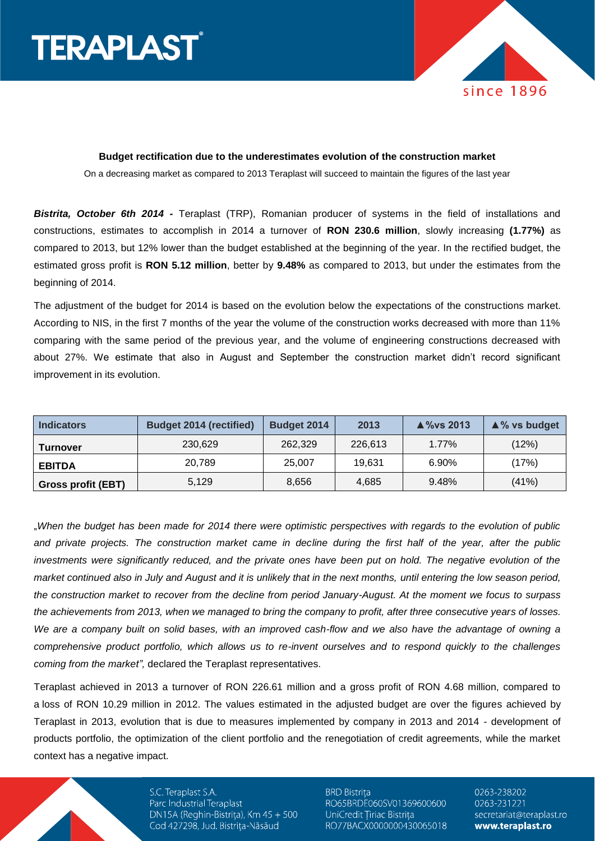



## **Budget rectification due to the underestimates evolution of the construction market**

On a decreasing market as compared to 2013 Teraplast will succeed to maintain the figures of the last year

*Bistrita, October 6th 2014 -* Teraplast (TRP), Romanian producer of systems in the field of installations and constructions, estimates to accomplish in 2014 a turnover of **RON 230.6 million**, slowly increasing **(1.77%)** as compared to 2013, but 12% lower than the budget established at the beginning of the year. In the rectified budget, the estimated gross profit is **RON 5.12 million**, better by **9.48%** as compared to 2013, but under the estimates from the beginning of 2014.

The adjustment of the budget for 2014 is based on the evolution below the expectations of the constructions market. According to NIS, in the first 7 months of the year the volume of the construction works decreased with more than 11% comparing with the same period of the previous year, and the volume of engineering constructions decreased with about 27%. We estimate that also in August and September the construction market didn't record significant improvement in its evolution.

| <b>Indicators</b>  | <b>Budget 2014 (rectified)</b> | Budget 2014 | 2013    | $\triangle$ %vs 2013 | $\triangle$ % vs budget |
|--------------------|--------------------------------|-------------|---------|----------------------|-------------------------|
| <b>Turnover</b>    | 230,629                        | 262,329     | 226.613 | $1.77\%$             | (12%)                   |
| <b>EBITDA</b>      | 20.789                         | 25,007      | 19.631  | 6.90%                | (17%)                   |
| Gross profit (EBT) | 5.129                          | 8.656       | 4,685   | 9.48%                | (41%)                   |

"*When the budget has been made for 2014 there were optimistic perspectives with regards to the evolution of public and private projects. The construction market came in decline during the first half of the year, after the public*  investments were significantly reduced, and the private ones have been put on hold. The negative evolution of the *market continued also in July and August and it is unlikely that in the next months, until entering the low season period, the construction market to recover from the decline from period January-August. At the moment we focus to surpass the achievements from 2013, when we managed to bring the company to profit, after three consecutive years of losses. We are a company built on solid bases, with an improved cash-flow and we also have the advantage of owning a comprehensive product portfolio, which allows us to re-invent ourselves and to respond quickly to the challenges coming from the market",* declared the Teraplast representatives.

Teraplast achieved in 2013 a turnover of RON 226.61 million and a gross profit of RON 4.68 million, compared to a loss of RON 10.29 million in 2012. The values estimated in the adjusted budget are over the figures achieved by Teraplast in 2013, evolution that is due to measures implemented by company in 2013 and 2014 - development of products portfolio, the optimization of the client portfolio and the renegotiation of credit agreements, while the market context has a negative impact.

> S.C. Teraplast S.A. Parc Industrial Teraplast DN15A (Reghin-Bistrița), Km 45 + 500 Cod 427298, Jud. Bistrița-Năsăud

**BRD Bistrița** RO65BRDE060SV01369600600 UniCredit Tiriac Bistrița RO77BACX0000000430065018 0263-238202 0263-231221 secretariat@teraplast.ro www.teraplast.ro